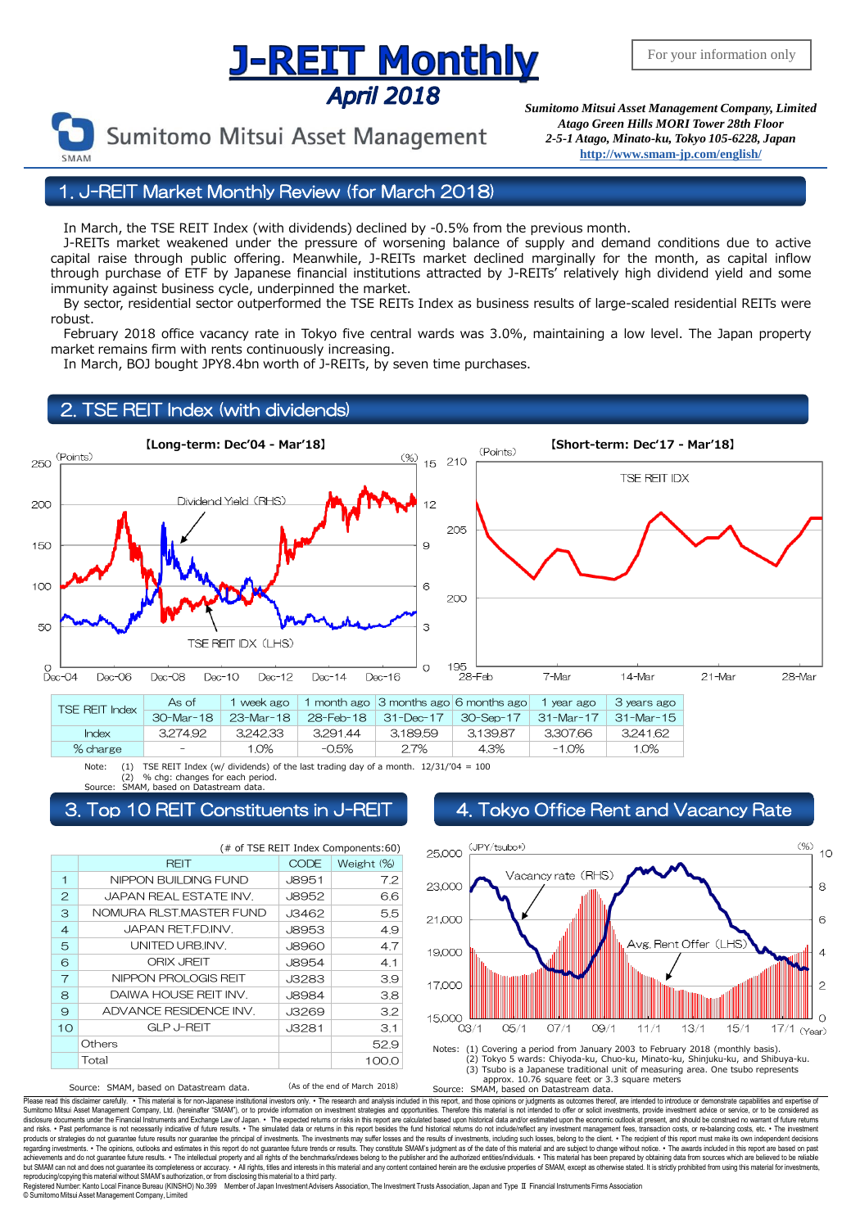# <u>J-REIT Monthly</u> **April 2018**



Sumitomo Mitsui Asset Management

*Sumitomo Mitsui Asset Management Company, Limited Atago Green Hills MORI Tower 28th Floor 2-5-1 Atago, Minato-ku, Tokyo 105-6228, Japan* **<http://www.smam-jp.com/english/>**

### 1. J-REIT Market Monthly Review (for March 2018)

In March, the TSE REIT Index (with dividends) declined by -0.5% from the previous month.

 J-REITs market weakened under the pressure of worsening balance of supply and demand conditions due to active capital raise through public offering. Meanwhile, J-REITs market declined marginally for the month, as capital inflow through purchase of ETF by Japanese financial institutions attracted by J-REITs' relatively high dividend yield and some immunity against business cycle, underpinned the market.

 By sector, residential sector outperformed the TSE REITs Index as business results of large-scaled residential REITs were robust.

 February 2018 office vacancy rate in Tokyo five central wards was 3.0%, maintaining a low level. The Japan property market remains firm with rents continuously increasing.

In March, BOJ bought JPY8.4bn worth of J-REITs, by seven time purchases.

## TSE REIT Index (with dividends)



Note: (1) TSE REIT Index (w/ dividends) of the last trading day of a month.  $12/31/04 = 100$ <br>(2) % chg: changes for each period. (2) % chg: changes for each period. Source: SMAM, based on Datastream data.

(# of TSE REIT Index Components:60)

CODE Weight (%) 1 NIPPON BUILDING FUND | J8951 | 7.2 **REIT** 

| $\mathbf{2}$   | JAPAN REAL ESTATE INV.  | <b>J8952</b> | 6.6   |
|----------------|-------------------------|--------------|-------|
| 3              | NOMURA RLST.MASTER FUND | J3462        | 5.5   |
| $\overline{4}$ | JAPAN RET.FD.INV.       | <b>J8953</b> | 4.9   |
| 5              | UNITED URB.INV.         | <b>J8960</b> | 4.7   |
| 6              | <b>ORIX JREIT</b>       | <b>J8954</b> | 4.1   |
| 7              | NIPPON PROLOGIS REIT    | J3283        | 3.9   |
| 8              | DAIWA HOUSE REIT INV.   | <b>J8984</b> | 3.8   |
| $\Theta$       | ADVANCE RESIDENCE INV.  | J3269        | 3.2   |
| 10             | <b>GLP J-REIT</b>       | J3281        | 3.1   |
|                | Others                  |              | 52.9  |
|                | Total                   |              | 100.0 |

Source: SMAM, based on Datastream data. (As of the end of March 2018)

#### Top 10 REIT Constituents in J-REIT | 4. Tokyo Office Rent and Vacancy Rate





Please read this disdaimer carefully. . This material is for non-Japanese institutional investors only. . The research and analysis included in this report, and those opinions or judgments as outcomes thereof, are intended disclosure documents under the Financial Instruments and Exchange Law of Japan. ∙ The expected relums or risk in this report are calculated based upon historical data and/or estimated upon the economic outlook at present, regarding investments. • The opinions, outlooks and estimates in this report do not guarantee future trends or results. They constitute SMAM's judgment as of the date of this material and are subject to change without noti reproducing/copying this material without SMAM's authorization, or from disclosing thismaterial to a third party.

ь⊶овы⊶g сортну ил» на клюбы от жилотного постания с постании в сортнении в состании в сортнении в сортнении в со<br>в сортнении в сортнении в сортнении (KINSHO) No.399 Member of Japan InvestmentAdvisers Association, The Inv © SumitomoMitsui Asset Management Company, Limited